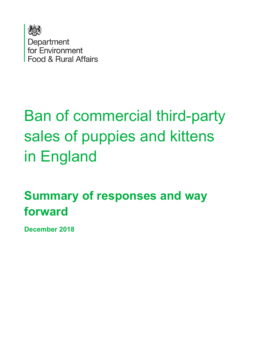

# Ban of commercial third-party sales of puppies and kittens in England

# **Summary of responses and way forward**

**December 2018**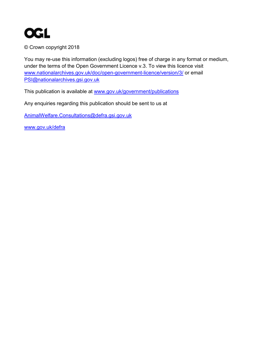

© Crown copyright 2018

You may re-use this information (excluding logos) free of charge in any format or medium, under the terms of the Open Government Licence v.3. To view this licence visit [www.nationalarchives.gov.uk/doc/open-government-licence/version/3/](http://www.nationalarchives.gov.uk/doc/open-government-licence/version/3/) or email [PSI@nationalarchives.gsi.gov.uk](mailto:PSI@nationalarchives.gsi.gov.uk) 

This publication is available at [www.gov.uk/government/publications](http://www.gov.uk/government/publications) 

Any enquiries regarding this publication should be sent to us at

[AnimalWelfare.Consultations@defra.gsi.gov.uk](mailto:AnimalWelfare.Consultations@defra.gsi.gov.uk)

[www.gov.uk/defra](http://www.gov.uk/defra)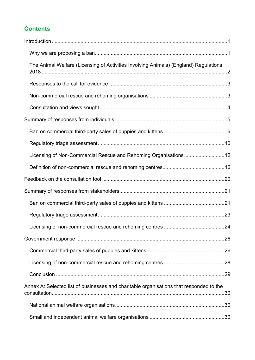### **Contents**

| The Animal Welfare (Licensing of Activities Involving Animals) (England) Regulations    |  |
|-----------------------------------------------------------------------------------------|--|
|                                                                                         |  |
|                                                                                         |  |
|                                                                                         |  |
|                                                                                         |  |
|                                                                                         |  |
|                                                                                         |  |
| Licensing of Non-Commercial Rescue and Rehoming Organisations12                         |  |
|                                                                                         |  |
|                                                                                         |  |
|                                                                                         |  |
|                                                                                         |  |
|                                                                                         |  |
|                                                                                         |  |
|                                                                                         |  |
|                                                                                         |  |
|                                                                                         |  |
|                                                                                         |  |
| Annex A: Selected list of businesses and charitable organisations that responded to the |  |
|                                                                                         |  |
|                                                                                         |  |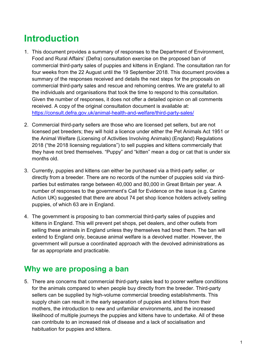# <span id="page-3-0"></span>**Introduction**

- 1. This document provides a summary of responses to the Department of Environment, Food and Rural Affairs' (Defra) consultation exercise on the proposed ban of commercial third-party sales of puppies and kittens in England. The consultation ran for four weeks from the 22 August until the 19 September 2018. This document provides a summary of the responses received and details the next steps for the proposals on commercial third-party sales and rescue and rehoming centres. We are grateful to all the individuals and organisations that took the time to respond to this consultation. Given the number of responses, it does not offer a detailed opinion on all comments received. A copy of the original consultation document is available at: <https://consult.defra.gov.uk/animal-health-and-welfare/third-party-sales/>
- 2. Commercial third-party sellers are those who are licensed pet sellers, but are not licensed pet breeders; they will hold a licence under either the Pet Animals Act 1951 or the Animal Welfare (Licensing of Activities Involving Animals) (England) Regulations 2018 ("the 2018 licensing regulations") to sell puppies and kittens commercially that they have not bred themselves. "Puppy" and "kitten" mean a dog or cat that is under six months old.
- 3. Currently, puppies and kittens can either be purchased via a third-party seller, or directly from a breeder. There are no records of the number of puppies sold via thirdparties but estimates range between 40,000 and 80,000 in Great Britain per year. A number of responses to the government's Call for Evidence on the issue (e.g. Canine Action UK) suggested that there are about 74 pet shop licence holders actively selling puppies, of which 63 are in England.
- 4. The government is proposing to ban commercial third-party sales of puppies and kittens in England. This will prevent pet shops, pet dealers, and other outlets from selling these animals in England unless they themselves had bred them. The ban will extend to England only, because animal welfare is a devolved matter. However, the government will pursue a coordinated approach with the devolved administrations as far as appropriate and practicable.

## <span id="page-3-1"></span>**Why we are proposing a ban**

5. There are concerns that commercial third-party sales lead to poorer welfare conditions for the animals compared to when people buy directly from the breeder. Third-party sellers can be supplied by high-volume commercial breeding establishments. This supply chain can result in the early separation of puppies and kittens from their mothers, the introduction to new and unfamiliar environments, and the increased likelihood of multiple journeys the puppies and kittens have to undertake. All of these can contribute to an increased risk of disease and a lack of socialisation and habituation for puppies and kittens.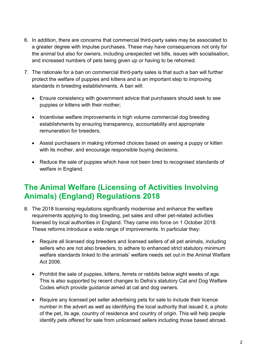- 6. In addition, there are concerns that commercial third-party sales may be associated to a greater degree with impulse purchases. These may have consequences not only for the animal but also for owners, including unexpected vet bills, issues with socialisation, and increased numbers of pets being given up or having to be rehomed.
- 7. The rationale for a ban on commercial third-party sales is that such a ban will further protect the welfare of puppies and kittens and is an important step to improving standards in breeding establishments. A ban will:
	- Ensure consistency with government advice that purchasers should seek to see puppies or kittens with their mother;
	- Incentivise welfare improvements in high volume commercial dog breeding establishments by ensuring transparency, accountability and appropriate remuneration for breeders;
	- Assist purchasers in making informed choices based on seeing a puppy or kitten with its mother, and encourage responsible buying decisions;
	- Reduce the sale of puppies which have not been bred to recognised standards of welfare in England.

# <span id="page-4-0"></span>**The Animal Welfare (Licensing of Activities Involving Animals) (England) Regulations 2018**

- 8. The 2018 licensing regulations significantly modernise and enhance the welfare requirements applying to dog breeding, pet sales and other pet-related activities licensed by local authorities in England. They came into force on 1 October 2018. These reforms introduce a wide range of improvements. In particular they:
	- Require all licensed dog breeders and licensed sellers of all pet animals, including sellers who are not also breeders, to adhere to enhanced strict statutory minimum welfare standards linked to the animals' welfare needs set out in the Animal Welfare Act 2006.
	- Prohibit the sale of puppies, kittens, ferrets or rabbits below eight weeks of age. This is also supported by recent changes to Defra's statutory Cat and Dog Welfare Codes which provide guidance aimed at cat and dog owners.
	- Require any licensed pet seller advertising pets for sale to include their licence number in the advert as well as identifying the local authority that issued it, a photo of the pet, its age, country of residence and country of origin. This will help people identify pets offered for sale from unlicensed sellers including those based abroad.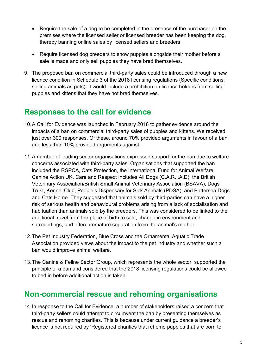- Require the sale of a dog to be completed in the presence of the purchaser on the premises where the licensed seller or licensed breeder has been keeping the dog, thereby banning online sales by licensed sellers and breeders.
- Require licensed dog breeders to show puppies alongside their mother before a sale is made and only sell puppies they have bred themselves.
- 9. The proposed ban on commercial third-party sales could be introduced through a new licence condition in Schedule 3 of the 2018 licensing regulations (Specific conditions: selling animals as pets). It would include a prohibition on licence holders from selling puppies and kittens that they have not bred themselves.

# <span id="page-5-0"></span>**Responses to the call for evidence**

- 10.A Call for Evidence was launched in February 2018 to gather evidence around the impacts of a ban on commercial third-party sales of puppies and kittens. We received just over 300 responses. Of these, around 70% provided arguments in favour of a ban and less than 10% provided arguments against.
- 11.A number of leading sector organisations expressed support for the ban due to welfare concerns associated with third-party sales. Organisations that supported the ban included the RSPCA, Cats Protection, the International Fund for Animal Welfare, Canine Action UK, Care and Respect Includes All Dogs (C.A.R.I.A.D), the British Veterinary Association/British Small Animal Veterinary Association (BSAVA), Dogs Trust, Kennel Club, People's Dispensary for Sick Animals (PDSA), and Battersea Dogs and Cats Home. They suggested that animals sold by third-parties can have a higher risk of serious health and behavioural problems arising from a lack of socialisation and habituation than animals sold by the breeders. This was considered to be linked to the additional travel from the place of birth to sale, change in environment and surroundings, and often premature separation from the animal's mother.
- 12. The Pet Industry Federation, Blue Cross and the Ornamental Aquatic Trade Association provided views about the impact to the pet industry and whether such a ban would improve animal welfare.
- 13.The Canine & Feline Sector Group, which represents the whole sector, supported the principle of a ban and considered that the 2018 licensing regulations could be allowed to bed in before additional action is taken.

# <span id="page-5-1"></span>**Non-commercial rescue and rehoming organisations**

14.In response to the Call for Evidence, a number of stakeholders raised a concern that third-party sellers could attempt to circumvent the ban by presenting themselves as rescue and rehoming charities. This is because under current guidance a breeder's licence is not required by 'Registered charities that rehome puppies that are born to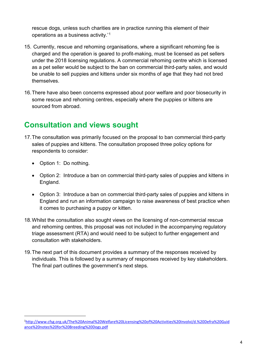rescue dogs, unless such charities are in practice running this element of their operations as a business activity.'[1](#page-6-1)

- 15. Currently, rescue and rehoming organisations, where a significant rehoming fee is charged and the operation is geared to profit-making, must be licensed as pet sellers under the 2018 licensing regulations. A commercial rehoming centre which is licensed as a pet seller would be subject to the ban on commercial third-party sales, and would be unable to sell puppies and kittens under six months of age that they had not bred themselves.
- 16.There have also been concerns expressed about poor welfare and poor biosecurity in some rescue and rehoming centres, especially where the puppies or kittens are sourced from abroad.

# <span id="page-6-0"></span>**Consultation and views sought**

- 17.The consultation was primarily focused on the proposal to ban commercial third-party sales of puppies and kittens. The consultation proposed three policy options for respondents to consider:
	- Option 1: Do nothing.

-

- Option 2: Introduce a ban on commercial third-party sales of puppies and kittens in England.
- Option 3: Introduce a ban on commercial third-party sales of puppies and kittens in England and run an information campaign to raise awareness of best practice when it comes to purchasing a puppy or kitten.
- 18.Whilst the consultation also sought views on the licensing of non-commercial rescue and rehoming centres, this proposal was not included in the accompanying regulatory triage assessment (RTA) and would need to be subject to further engagement and consultation with stakeholders.
- 19.The next part of this document provides a summary of the responses received by individuals. This is followed by a summary of responses received by key stakeholders. The final part outlines the government's next steps.

<span id="page-6-1"></span><sup>1</sup> [http://www.cfsg.org.uk/The%20Animal%20Welfare%20Licensing%20of%20Activities%20Involvi/d.%20Defra%20Guid](http://www.cfsg.org.uk/The%20Animal%20Welfare%20Licensing%20of%20Activities%20Involvi/d.%20Defra%20Guidance%20notes%20for%20Breeding%20Dogs.pdf) [ance%20notes%20for%20Breeding%20Dogs.pdf](http://www.cfsg.org.uk/The%20Animal%20Welfare%20Licensing%20of%20Activities%20Involvi/d.%20Defra%20Guidance%20notes%20for%20Breeding%20Dogs.pdf)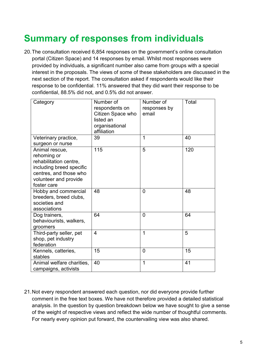# <span id="page-7-0"></span>**Summary of responses from individuals**

20.The consultation received 6,854 responses on the government's online consultation portal (Citizen Space) and 14 responses by email. Whilst most responses were provided by individuals, a significant number also came from groups with a special interest in the proposals. The views of some of these stakeholders are discussed in the next section of the report. The consultation asked if respondents would like their response to be confidential. 11% answered that they did want their response to be confidential, 88.5% did not, and 0.5% did not answer.

| Category                                                                                                                                              | Number of<br>respondents on<br>Citizen Space who<br>listed an<br>organisational<br>affiliation | Number of<br>responses by<br>email | Total |
|-------------------------------------------------------------------------------------------------------------------------------------------------------|------------------------------------------------------------------------------------------------|------------------------------------|-------|
| Veterinary practice,<br>surgeon or nurse                                                                                                              | 39                                                                                             | 1                                  | 40    |
| Animal rescue,<br>rehoming or<br>rehabilitation centre,<br>including breed specific<br>centres, and those who<br>volunteer and provide<br>foster care | 115                                                                                            | 5                                  | 120   |
| Hobby and commercial<br>breeders, breed clubs,<br>societies and<br>associations                                                                       | 48                                                                                             | $\overline{0}$                     | 48    |
| Dog trainers,<br>behaviourists, walkers,<br>groomers                                                                                                  | 64                                                                                             | 0                                  | 64    |
| Third-party seller, pet<br>shop, pet industry<br>federation                                                                                           | $\overline{4}$                                                                                 | 1                                  | 5     |
| Kennels, catteries,<br>stables                                                                                                                        | 15                                                                                             | $\overline{0}$                     | 15    |
| Animal welfare charities,<br>campaigns, activists                                                                                                     | 40                                                                                             | 1                                  | 41    |

21.Not every respondent answered each question, nor did everyone provide further comment in the free text boxes. We have not therefore provided a detailed statistical analysis. In the question by question breakdown below we have sought to give a sense of the weight of respective views and reflect the wide number of thoughtful comments. For nearly every opinion put forward, the countervailing view was also shared.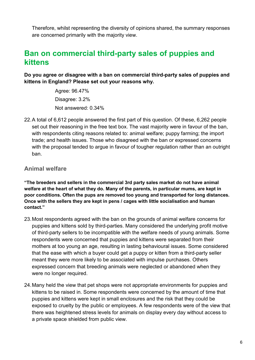Therefore, whilst representing the diversity of opinions shared, the summary responses are concerned primarily with the majority view.

# <span id="page-8-0"></span>**Ban on commercial third-party sales of puppies and kittens**

**Do you agree or disagree with a ban on commercial third-party sales of puppies and kittens in England? Please set out your reasons why.** 

> Agree: 96.47% Disagree: 3.2% Not answered: 0.34%

22.A total of 6,612 people answered the first part of this question. Of these, 6,262 people set out their reasoning in the free text box. The vast majority were in favour of the ban, with respondents citing reasons related to: animal welfare; puppy farming; the import trade; and health issues. Those who disagreed with the ban or expressed concerns with the proposal tended to argue in favour of tougher regulation rather than an outright ban.

#### **Animal welfare**

**"The breeders and sellers in the commercial 3rd party sales market do not have animal welfare at the heart of what they do. Many of the parents, in particular mums, are kept in poor conditions. Often the pups are removed too young and transported for long distances. Once with the sellers they are kept in pens / cages with little socialisation and human contact."**

- 23.Most respondents agreed with the ban on the grounds of animal welfare concerns for puppies and kittens sold by third-parties. Many considered the underlying profit motive of third-party sellers to be incompatible with the welfare needs of young animals. Some respondents were concerned that puppies and kittens were separated from their mothers at too young an age, resulting in lasting behavioural issues. Some considered that the ease with which a buyer could get a puppy or kitten from a third-party seller meant they were more likely to be associated with impulse purchases. Others expressed concern that breeding animals were neglected or abandoned when they were no longer required.
- 24.Many held the view that pet shops were not appropriate environments for puppies and kittens to be raised in. Some respondents were concerned by the amount of time that puppies and kittens were kept in small enclosures and the risk that they could be exposed to cruelty by the public or employees. A few respondents were of the view that there was heightened stress levels for animals on display every day without access to a private space shielded from public view.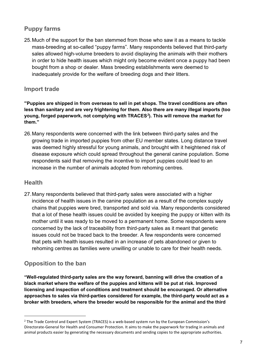#### **Puppy farms**

25.Much of the support for the ban stemmed from those who saw it as a means to tackle mass-breeding at so-called "puppy farms". Many respondents believed that third-party sales allowed high-volume breeders to avoid displaying the animals with their mothers in order to hide health issues which might only become evident once a puppy had been bought from a shop or dealer. Mass breeding establishments were deemed to inadequately provide for the welfare of breeding dogs and their litters.

#### **Import trade**

**"Puppies are shipped in from overseas to sell in pet shops. The travel conditions are often less than sanitary and are very frightening for them. Also there are many illegal imports (too young, forged paperwork, not complying with TRACES***[2](#page-9-0)* **). This will remove the market for them."**

26.Many respondents were concerned with the link between third-party sales and the growing trade in imported puppies from other EU member states. Long distance travel was deemed highly stressful for young animals, and brought with it heightened risk of disease exposure which could spread throughout the general canine population. Some respondents said that removing the incentive to import puppies could lead to an increase in the number of animals adopted from rehoming centres.

#### **Health**

-

27.Many respondents believed that third-party sales were associated with a higher incidence of health issues in the canine population as a result of the complex supply chains that puppies were bred, transported and sold via. Many respondents considered that a lot of these health issues could be avoided by keeping the puppy or kitten with its mother until it was ready to be moved to a permanent home. Some respondents were concerned by the lack of traceability from third-party sales as it meant that genetic issues could not be traced back to the breeder. A few respondents were concerned that pets with health issues resulted in an increase of pets abandoned or given to rehoming centres as families were unwilling or unable to care for their health needs.

#### **Opposition to the ban**

**"Well-regulated third-party sales are the way forward, banning will drive the creation of a black market where the welfare of the puppies and kittens will be put at risk. Improved licensing and inspection of conditions and treatment should be encouraged. Or alternative approaches to sales via third-parties considered for example, the third-party would act as a broker with breeders, where the breeder would be responsible for the animal and the third** 

<span id="page-9-0"></span><sup>2</sup> The Trade Control and Expert System (TRACES) is a web-based system run by the European Commission's Directorate-General for Health and Consumer Protection. It aims to make the paperwork for trading in animals and animal products easier by generating the necessary documents and sending copies to the appropriate authorities.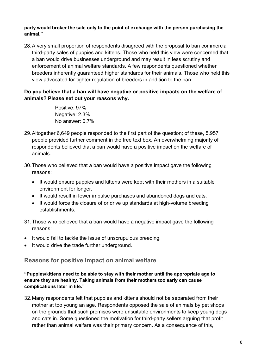**party would broker the sale only to the point of exchange with the person purchasing the animal."**

28.A very small proportion of respondents disagreed with the proposal to ban commercial third-party sales of puppies and kittens. Those who held this view were concerned that a ban would drive businesses underground and may result in less scrutiny and enforcement of animal welfare standards. A few respondents questioned whether breeders inherently guaranteed higher standards for their animals. Those who held this view advocated for tighter regulation of breeders in addition to the ban.

#### **Do you believe that a ban will have negative or positive impacts on the welfare of animals? Please set out your reasons why.**

Positive: 97% Negative: 2.3% No answer: 0.7%

- 29.Altogether 6,649 people responded to the first part of the question; of these, 5,957 people provided further comment in the free text box. An overwhelming majority of respondents believed that a ban would have a positive impact on the welfare of animals.
- 30.Those who believed that a ban would have a positive impact gave the following reasons:
	- It would ensure puppies and kittens were kept with their mothers in a suitable environment for longer.
	- It would result in fewer impulse purchases and abandoned dogs and cats.
	- It would force the closure of or drive up standards at high-volume breeding establishments.
- 31.Those who believed that a ban would have a negative impact gave the following reasons:
- It would fail to tackle the issue of unscrupulous breeding.
- It would drive the trade further underground.

#### **Reasons for positive impact on animal welfare**

**"Puppies/kittens need to be able to stay with their mother until the appropriate age to ensure they are healthy. Taking animals from their mothers too early can cause complications later in life."** 

32.Many respondents felt that puppies and kittens should not be separated from their mother at too young an age. Respondents opposed the sale of animals by pet shops on the grounds that such premises were unsuitable environments to keep young dogs and cats in. Some questioned the motivation for third-party sellers arguing that profit rather than animal welfare was their primary concern. As a consequence of this,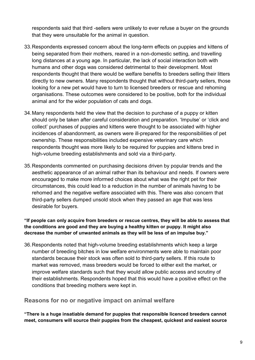respondents said that third -sellers were unlikely to ever refuse a buyer on the grounds that they were unsuitable for the animal in question.

- 33.Respondents expressed concern about the long-term effects on puppies and kittens of being separated from their mothers, reared in a non-domestic setting, and travelling long distances at a young age. In particular, the lack of social interaction both with humans and other dogs was considered detrimental to their development. Most respondents thought that there would be welfare benefits to breeders selling their litters directly to new owners. Many respondents thought that without third-party sellers, those looking for a new pet would have to turn to licensed breeders or rescue and rehoming organisations. These outcomes were considered to be positive, both for the individual animal and for the wider population of cats and dogs.
- 34.Many respondents held the view that the decision to purchase of a puppy or kitten should only be taken after careful consideration and preparation. 'Impulse' or 'click and collect' purchases of puppies and kittens were thought to be associated with higher incidences of abandonment, as owners were ill-prepared for the responsibilities of pet ownership. These responsibilities included expensive veterinary care which respondents thought was more likely to be required for puppies and kittens bred in high-volume breeding establishments and sold via a third-party.
- 35.Respondents commented on purchasing decisions driven by popular trends and the aesthetic appearance of an animal rather than its behaviour and needs. If owners were encouraged to make more informed choices about what was the right pet for their circumstances, this could lead to a reduction in the number of animals having to be rehomed and the negative welfare associated with this. There was also concern that third-party sellers dumped unsold stock when they passed an age that was less desirable for buyers.

#### **"If people can only acquire from breeders or rescue centres, they will be able to assess that the conditions are good and they are buying a healthy kitten or puppy. It might also decrease the number of unwanted animals as they will be less of an impulse buy."**

36.Respondents noted that high-volume breeding establishments which keep a large number of breeding bitches in low welfare environments were able to maintain poor standards because their stock was often sold to third-party sellers. If this route to market was removed, mass breeders would be forced to either exit the market, or improve welfare standards such that they would allow public access and scrutiny of their establishments. Respondents hoped that this would have a positive effect on the conditions that breeding mothers were kept in.

#### **Reasons for no or negative impact on animal welfare**

**"There is a huge insatiable demand for puppies that responsible licenced breeders cannot meet, consumers will source their puppies from the cheapest, quickest and easiest source**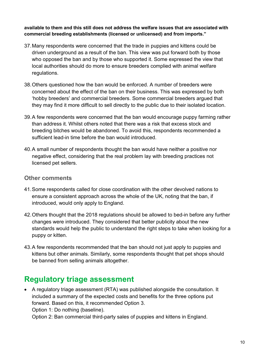#### **available to them and this still does not address the welfare issues that are associated with commercial breeding establishments (licensed or unlicensed) and from imports."**

- 37.Many respondents were concerned that the trade in puppies and kittens could be driven underground as a result of the ban. This view was put forward both by those who opposed the ban and by those who supported it. Some expressed the view that local authorities should do more to ensure breeders complied with animal welfare regulations.
- 38.Others questioned how the ban would be enforced. A number of breeders were concerned about the effect of the ban on their business. This was expressed by both 'hobby breeders' and commercial breeders. Some commercial breeders argued that they may find it more difficult to sell directly to the public due to their isolated location.
- 39.A few respondents were concerned that the ban would encourage puppy farming rather than address it. Whilst others noted that there was a risk that excess stock and breeding bitches would be abandoned. To avoid this, respondents recommended a sufficient lead-in time before the ban would introduced.
- 40.A small number of respondents thought the ban would have neither a positive nor negative effect, considering that the real problem lay with breeding practices not licensed pet sellers.

#### **Other comments**

- 41.Some respondents called for close coordination with the other devolved nations to ensure a consistent approach across the whole of the UK, noting that the ban, if introduced, would only apply to England.
- 42.Others thought that the 2018 regulations should be allowed to bed-in before any further changes were introduced. They considered that better publicity about the new standards would help the public to understand the right steps to take when looking for a puppy or kitten.
- 43.A few respondents recommended that the ban should not just apply to puppies and kittens but other animals. Similarly, some respondents thought that pet shops should be banned from selling animals altogether.

# <span id="page-12-0"></span>**Regulatory triage assessment**

• A regulatory triage assessment (RTA) was published alongside the consultation. It included a summary of the expected costs and benefits for the three options put forward. Based on this, it recommended Option 3. Option 1: Do nothing (baseline).

Option 2: Ban commercial third-party sales of puppies and kittens in England.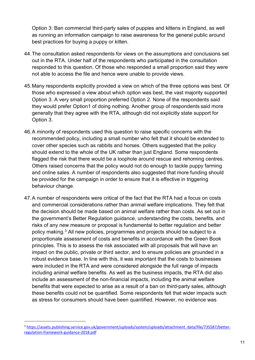Option 3: Ban commercial third-party sales of puppies and kittens in England, as well as running an information campaign to raise awareness for the general public around best practices for buying a puppy or kitten.

- 44.The consultation asked respondents for views on the assumptions and conclusions set out in the RTA. Under half of the respondents who participated in the consultation responded to this question. Of those who responded a small proportion said they were not able to access the file and hence were unable to provide views.
- 45.Many respondents explicitly provided a view on which of the three options was best. Of those who expressed a view about which option was best, the vast majority supported Option 3. A very small proportion preferred Option 2. None of the respondents said they would prefer Option1 of doing nothing. Another group of respondents said more generally that they agree with the RTA, although did not explicitly state support for Option 3.
- 46.A minority of respondents used this question to raise specific concerns with the recommended policy, including a small number who felt that it should be extended to cover other species such as rabbits and horses. Others suggested that the policy should extend to the whole of the UK rather than just England. Some respondents flagged the risk that there would be a loophole around rescue and rehoming centres. Others raised concerns that the policy would not do enough to tackle puppy farming and online sales. A number of respondents also suggested that more funding should be provided for the campaign in order to ensure that it is effective in triggering behaviour change.
- 47.A number of respondents were critical of the fact that the RTA had a focus on costs and commercial considerations rather than animal welfare implications. They felt that the decision should be made based on animal welfare rather than costs. As set out in the government's Better Regulation guidance, understanding the costs, benefits, and risks of any new measure or proposal is fundamental to better regulation and better policy making.[3](#page-13-0) All new policies, programmes and projects should be subject to a proportionate assessment of costs and benefits in accordance with the Green Book principles. This is to assess the risk associated with all proposals that will have an impact on the public, private or third sector, and to ensure policies are grounded in a robust evidence base. In line with this, it was important that the costs to businesses were included in the RTA and were considered alongside the full range of impacts including animal welfare benefits. As well as the business impacts, the RTA did also include an assessment of the non-financial impacts, including the animal welfare benefits that were expected to arise as a result of a ban on third-party sales, although these benefits could not be quantified. Some respondents felt that wider impacts such as stress for consumers should have been quantified. However, no evidence was

<u>.</u>

<span id="page-13-0"></span><sup>&</sup>lt;sup>3</sup> [https://assets.publishing.service.gov.uk/government/uploads/system/uploads/attachment\\_data/file/735587/better](https://assets.publishing.service.gov.uk/government/uploads/system/uploads/attachment_data/file/735587/better-regulation-framework-guidance-2018.pdf)[regulation-framework-guidance-2018.pdf](https://assets.publishing.service.gov.uk/government/uploads/system/uploads/attachment_data/file/735587/better-regulation-framework-guidance-2018.pdf)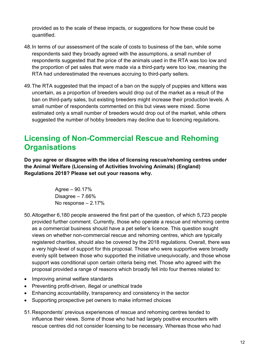provided as to the scale of these impacts, or suggestions for how these could be quantified.

- 48.In terms of our assessment of the scale of costs to business of the ban, while some respondents said they broadly agreed with the assumptions, a small number of respondents suggested that the price of the animals used in the RTA was too low and the proportion of pet sales that were made via a third-party were too low, meaning the RTA had underestimated the revenues accruing to third-party sellers.
- 49.The RTA suggested that the impact of a ban on the supply of puppies and kittens was uncertain, as a proportion of breeders would drop out of the market as a result of the ban on third-party sales, but existing breeders might increase their production levels. A small number of respondents commented on this but views were mixed. Some estimated only a small number of breeders would drop out of the market, while others suggested the number of hobby breeders may decline due to licencing regulations.

# <span id="page-14-0"></span>**Licensing of Non-Commercial Rescue and Rehoming Organisations**

**Do you agree or disagree with the idea of licensing rescue/rehoming centres under the Animal Welfare (Licensing of Activities Involving Animals) (England) Regulations 2018? Please set out your reasons why.** 

> Agree – 90.17% Disagree – 7.66% No response – 2.17%

- 50.Altogether 6,180 people answered the first part of the question, of which 5,723 people provided further comment. Currently, those who operate a rescue and rehoming centre as a commercial business should have a pet seller's licence. This question sought views on whether non-commercial rescue and rehoming centres, which are typically registered charities, should also be covered by the 2018 regulations. Overall, there was a very high-level of support for this proposal. Those who were supportive were broadly evenly split between those who supported the initiative unequivocally, and those whose support was conditional upon certain criteria being met. Those who agreed with the proposal provided a range of reasons which broadly fell into four themes related to:
- Improving animal welfare standards
- Preventing profit-driven, illegal or unethical trade
- Enhancing accountability, transparency and consistency in the sector
- Supporting prospective pet owners to make informed choices
- 51.Respondents' previous experiences of rescue and rehoming centres tended to influence their views. Some of those who had had largely positive encounters with rescue centres did not consider licensing to be necessary. Whereas those who had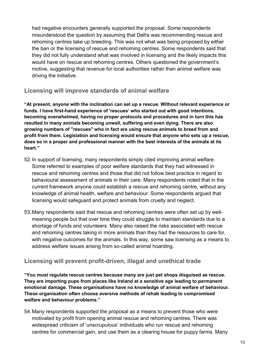had negative encounters generally supported the proposal. Some respondents misunderstood the question by assuming that Defra was recommending rescue and rehoming centres take up breeding. This was not what was being proposed by either the ban or the licensing of rescue and rehoming centres. Some respondents said that they did not fully understand what was involved in licensing and the likely impacts this would have on rescue and rehoming centres. Others questioned the government's motive, suggesting that revenue for local authorities rather than animal welfare was driving the initiative.

#### **Licensing will improve standards of animal welfare**

**"At present, anyone with the inclination can set up a rescue. Without relevant experience or funds. I have first-hand experience of 'rescues' who started out with good intentions, becoming overwhelmed, having no proper protocols and procedures and in turn this has resulted in many animals becoming unwell, suffering and even dying. There are also growing numbers of "rescues" who in fact are using rescue animals to breed from and profit from them. Legislation and licensing would ensure that anyone who sets up a rescue, does so in a proper and professional manner with the best interests of the animals at its heart."** 

- 52.In support of licensing, many respondents simply cited improving animal welfare. Some referred to examples of poor welfare standards that they had witnessed in rescue and rehoming centres and those that did not follow best practice in regard to behavioural assessment of animals in their care. Many respondents noted that in the current framework anyone could establish a rescue and rehoming centre, without any knowledge of animal health, welfare and behaviour. Some respondents argued that licensing would safeguard and protect animals from cruelty and neglect.
- 53.Many respondents said that rescue and rehoming centres were often set up by wellmeaning people but that over time they could struggle to maintain standards due to a shortage of funds and volunteers. Many also raised the risks associated with rescue and rehoming centres taking in more animals than they had the resources to care for, with negative outcomes for the animals. In this way, some saw licensing as a means to address welfare issues arising from so-called animal hoarding.

#### **Licensing will prevent profit-driven, illegal and unethical trade**

**"You must regulate rescue centres because many are just pet shops disguised as rescue. They are importing pups from places like Ireland at a sensitive age leading to permanent emotional damage. These organisations have no knowledge of animal welfare of behaviour. These organisation often choose aversive methods of rehab leading to compromised welfare and behaviour problems."** 

54.Many respondents supported the proposal as a means to prevent those who were motivated by profit from opening animal rescue and rehoming centres. There was widespread criticism of 'unscrupulous' individuals who run rescue and rehoming centres for commercial gain, and use them as a clearing house for puppy farms. Many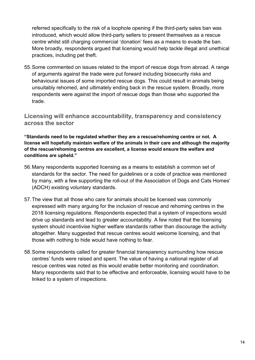referred specifically to the risk of a loophole opening if the third-party sales ban was introduced, which would allow third-party sellers to present themselves as a rescue centre whilst still charging commercial 'donation' fees as a means to evade the ban. More broadly, respondents argued that licensing would help tackle illegal and unethical practices, including pet theft.

55.Some commented on issues related to the import of rescue dogs from abroad. A range of arguments against the trade were put forward including biosecurity risks and behavioural issues of some imported rescue dogs. This could result in animals being unsuitably rehomed, and ultimately ending back in the rescue system. Broadly, more respondents were against the import of rescue dogs than those who supported the trade.

**Licensing will enhance accountability, transparency and consistency across the sector**

**"Standards need to be regulated whether they are a rescue/rehoming centre or not. A license will hopefully maintain welfare of the animals in their care and although the majority of the rescue/rehoming centres are excellent, a license would ensure the welfare and conditions are upheld."** 

- 56.Many respondents supported licensing as a means to establish a common set of standards for the sector. The need for guidelines or a code of practice was mentioned by many, with a few supporting the roll-out of the Association of Dogs and Cats Homes' (ADCH) existing voluntary standards.
- 57.The view that all those who care for animals should be licensed was commonly expressed with many arguing for the inclusion of rescue and rehoming centres in the 2018 licensing regulations. Respondents expected that a system of inspections would drive up standards and lead to greater accountability. A few noted that the licensing system should incentivise higher welfare standards rather than discourage the activity altogether. Many suggested that rescue centres would welcome licensing, and that those with nothing to hide would have nothing to fear.
- 58.Some respondents called for greater financial transparency surrounding how rescue centres' funds were raised and spent. The value of having a national register of all rescue centres was noted as this would enable better monitoring and coordination. Many respondents said that to be effective and enforceable, licensing would have to be linked to a system of inspections.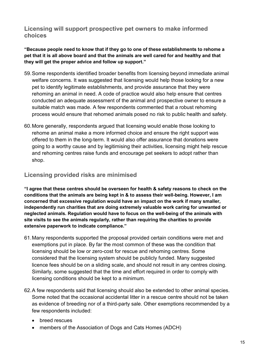**Licensing will support prospective pet owners to make informed choices** 

**"Because people need to know that if they go to one of these establishments to rehome a pet that it is all above board and that the animals are well cared for and healthy and that they will get the proper advice and follow up support."** 

- 59.Some respondents identified broader benefits from licensing beyond immediate animal welfare concerns. It was suggested that licensing would help those looking for a new pet to identify legitimate establishments, and provide assurance that they were rehoming an animal in need. A code of practice would also help ensure that centres conducted an adequate assessment of the animal and prospective owner to ensure a suitable match was made. A few respondents commented that a robust rehoming process would ensure that rehomed animals posed no risk to public health and safety.
- 60.More generally, respondents argued that licensing would enable those looking to rehome an animal make a more informed choice and ensure the right support was offered to them in the long-term. It would also offer assurance that donations were going to a worthy cause and by legitimising their activities, licensing might help rescue and rehoming centres raise funds and encourage pet seekers to adopt rather than shop.

#### **Licensing provided risks are minimised**

**"I agree that these centres should be overseen for health & safety reasons to check on the conditions that the animals are being kept in & to assess their well-being. However, I am concerned that excessive regulation would have an impact on the work if many smaller, independently run charities that are doing extremely valuable work caring for unwanted or neglected animals. Regulation would have to focus on the well-being of the animals with site visits to see the animals regularly, rather than requiring the charities to provide extensive paperwork to indicate compliance."** 

- 61.Many respondents supported the proposal provided certain conditions were met and exemptions put in place. By far the most common of these was the condition that licensing should be low or zero-cost for rescue and rehoming centres. Some considered that the licensing system should be publicly funded. Many suggested licence fees should be on a sliding scale, and should not result in any centres closing. Similarly, some suggested that the time and effort required in order to comply with licensing conditions should be kept to a minimum.
- 62.A few respondents said that licensing should also be extended to other animal species. Some noted that the occasional accidental litter in a rescue centre should not be taken as evidence of breeding nor of a third-party sale. Other exemptions recommended by a few respondents included:
	- breed rescues
	- members of the Association of Dogs and Cats Homes (ADCH)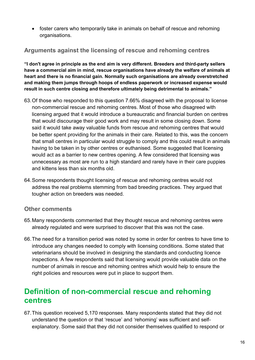• foster carers who temporarily take in animals on behalf of rescue and rehoming organisations.

#### **Arguments against the licensing of rescue and rehoming centres**

**"I don't agree in principle as the end aim is very different. Breeders and third-party sellers have a commercial aim in mind, rescue organisations have already the welfare of animals at heart and there is no financial gain. Normally such organisations are already overstretched and making them jumps through hoops of endless paperwork or increased expense would result in such centre closing and therefore ultimately being detrimental to animals."** 

- 63.Of those who responded to this question 7.66% disagreed with the proposal to license non-commercial rescue and rehoming centres. Most of those who disagreed with licensing argued that it would introduce a bureaucratic and financial burden on centres that would discourage their good work and may result in some closing down. Some said it would take away valuable funds from rescue and rehoming centres that would be better spent providing for the animals in their care. Related to this, was the concern that small centres in particular would struggle to comply and this could result in animals having to be taken in by other centres or euthanised. Some suggested that licensing would act as a barrier to new centres opening. A few considered that licensing was unnecessary as most are run to a high standard and rarely have in their care puppies and kittens less than six months old.
- 64.Some respondents thought licensing of rescue and rehoming centres would not address the real problems stemming from bad breeding practices. They argued that tougher action on breeders was needed.

#### **Other comments**

- 65.Many respondents commented that they thought rescue and rehoming centres were already regulated and were surprised to discover that this was not the case.
- 66.The need for a transition period was noted by some in order for centres to have time to introduce any changes needed to comply with licensing conditions. Some stated that veterinarians should be involved in designing the standards and conducting licence inspections. A few respondents said that licensing would provide valuable data on the number of animals in rescue and rehoming centres which would help to ensure the right policies and resources were put in place to support them.

## <span id="page-18-0"></span>**Definition of non-commercial rescue and rehoming centres**

67.This question received 5,170 responses. Many respondents stated that they did not understand the question or that 'rescue' and 'rehoming' was sufficient and selfexplanatory. Some said that they did not consider themselves qualified to respond or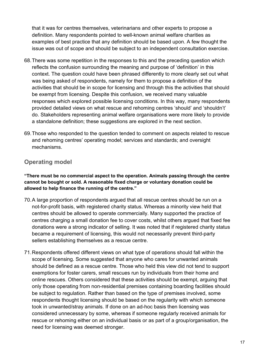that it was for centres themselves, veterinarians and other experts to propose a definition. Many respondents pointed to well-known animal welfare charities as examples of best practice that any definition should be based upon. A few thought the issue was out of scope and should be subject to an independent consultation exercise.

- 68.There was some repetition in the responses to this and the preceding question which reflects the confusion surrounding the meaning and purpose of 'definition' in this context. The question could have been phrased differently to more clearly set out what was being asked of respondents, namely for them to propose a definition of the activities that should be in scope for licensing and through this the activities that should be exempt from licensing. Despite this confusion, we received many valuable responses which explored possible licensing conditions. In this way, many respondents provided detailed views on what rescue and rehoming centres 'should' and 'shouldn't' do. Stakeholders representing animal welfare organisations were more likely to provide a standalone definition; these suggestions are explored in the next section.
- 69.Those who responded to the question tended to comment on aspects related to rescue and rehoming centres' operating model; services and standards; and oversight mechanisms.

#### **Operating model**

**"There must be no commercial aspect to the operation. Animals passing through the centre cannot be bought or sold. A reasonable fixed charge or voluntary donation could be allowed to help finance the running of the centre."** 

- 70.A large proportion of respondents argued that all rescue centres should be run on a not-for-profit basis, with registered charity status. Whereas a minority view held that centres should be allowed to operate commercially. Many supported the practice of centres charging a small donation fee to cover costs, whilst others argued that fixed fee donations were a strong indicator of selling. It was noted that if registered charity status became a requirement of licensing, this would not necessarily prevent third-party sellers establishing themselves as a rescue centre.
- 71.Respondents offered different views on what type of operations should fall within the scope of licensing. Some suggested that anyone who cares for unwanted animals should be defined as a rescue centre. Those who held this view did not tend to support exemptions for foster carers, small rescues run by individuals from their home and online rescues. Others considered that these activities should be exempt, arguing that only those operating from non-residential premises containing boarding facilities should be subject to regulation. Rather than based on the type of premises involved, some respondents thought licensing should be based on the regularity with which someone took in unwanted/stray animals. If done on an ad-hoc basis then licensing was considered unnecessary by some, whereas if someone regularly received animals for rescue or rehoming either on an individual basis or as part of a group/organisation, the need for licensing was deemed stronger.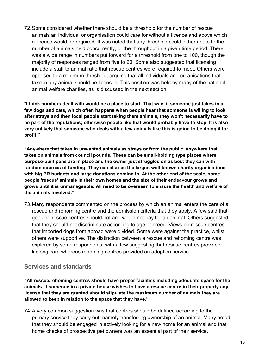72.Some considered whether there should be a threshold for the number of rescue animals an individual or organisation could care for without a licence and above which a licence would be required. It was noted that any threshold could either relate to the number of animals held concurrently, or the throughput in a given time period. There was a wide range in numbers put forward for a threshold from one to 100, though the majority of responses ranged from five to 20. Some also suggested that licensing include a staff to animal ratio that rescue centres were required to meet. Others were opposed to a minimum threshold, arguing that all individuals and organisations that take in any animal should be licensed. This position was held by many of the national animal welfare charities, as is discussed in the next section.

"I **think numbers dealt with would be a place to start. That way, if someone just takes in a few dogs and cats, which often happens when people hear that someone is willing to look after strays and then local people start taking them animals, they won't necessarily have to be part of the regulations; otherwise people like that would probably have to stop. It is also very unlikely that someone who deals with a few animals like this is going to be doing it for profit."** 

**"Anywhere that takes in unwanted animals as strays or from the public, anywhere that takes on animals from council pounds. These can be small-holding type places where purpose-built pens are in place and the owner just struggles on as best they can with random sources of funding. They can also be the larger, well-known charity organisations with big PR budgets and large donations coming in. At the other end of the scale, some people 'rescue' animals in their own homes and the size of their endeavour grows and grows until it is unmanageable. All need to be overseen to ensure the health and welfare of the animals involved."** 

73.Many respondents commented on the process by which an animal enters the care of a rescue and rehoming centre and the admission criteria that they apply. A few said that genuine rescue centres should not and would not pay for an animal. Others suggested that they should not discriminate according to age or breed. Views on rescue centres that imported dogs from abroad were divided. Some were against the practice, whilst others were supportive. The distinction between a rescue and rehoming centre was explored by some respondents, with a few suggesting that rescue centres provided lifelong care whereas rehoming centres provided an adoption service.

#### **Services and standards**

**"All rescue/rehoming centres should have proper facilities including adequate space for the animals. If someone in a private house wishes to have a rescue centre in their property any license that they are granted should stipulate the maximum number of animals they are allowed to keep in relation to the space that they have."** 

74.A very common suggestion was that centres should be defined according to the primary service they carry out, namely transferring ownership of an animal. Many noted that they should be engaged in actively looking for a new home for an animal and that home checks of prospective pet owners was an essential part of their service.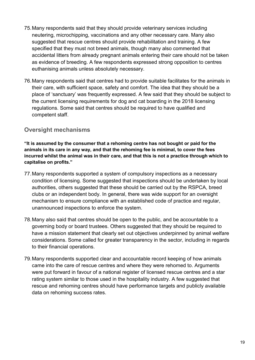- 75.Many respondents said that they should provide veterinary services including neutering, microchipping, vaccinations and any other necessary care. Many also suggested that rescue centres should provide rehabilitation and training. A few specified that they must not breed animals, though many also commented that accidental litters from already pregnant animals entering their care should not be taken as evidence of breeding. A few respondents expressed strong opposition to centres euthanising animals unless absolutely necessary.
- 76.Many respondents said that centres had to provide suitable facilitates for the animals in their care, with sufficient space, safety and comfort. The idea that they should be a place of 'sanctuary' was frequently expressed. A few said that they should be subject to the current licensing requirements for dog and cat boarding in the 2018 licensing regulations. Some said that centres should be required to have qualified and competent staff.

#### **Oversight mechanisms**

**"It is assumed by the consumer that a rehoming centre has not bought or paid for the animals in its care in any way, and that the rehoming fee is minimal, to cover the fees incurred whilst the animal was in their care, and that this is not a practice through which to capitalise on profits."** 

- 77.Many respondents supported a system of compulsory inspections as a necessary condition of licensing. Some suggested that inspections should be undertaken by local authorities, others suggested that these should be carried out by the RSPCA, breed clubs or an independent body. In general, there was wide support for an oversight mechanism to ensure compliance with an established code of practice and regular, unannounced inspections to enforce the system.
- 78.Many also said that centres should be open to the public, and be accountable to a governing body or board trustees. Others suggested that they should be required to have a mission statement that clearly set out objectives underpinned by animal welfare considerations. Some called for greater transparency in the sector, including in regards to their financial operations.
- 79.Many respondents supported clear and accountable record keeping of how animals came into the care of rescue centres and where they were rehomed to. Arguments were put forward in favour of a national register of licensed rescue centres and a star rating system similar to those used in the hospitality industry. A few suggested that rescue and rehoming centres should have performance targets and publicly available data on rehoming success rates.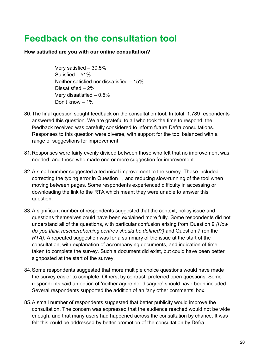# <span id="page-22-0"></span>**Feedback on the consultation tool**

#### **How satisfied are you with our online consultation?**

Very satisfied – 30.5% Satisfied – 51% Neither satisfied nor dissatisfied – 15% Dissatisfied – 2% Very dissatisfied – 0.5% Don't know – 1%

- 80.The final question sought feedback on the consultation tool. In total, 1,789 respondents answered this question. We are grateful to all who took the time to respond; the feedback received was carefully considered to inform future Defra consultations. Responses to this question were diverse, with support for the tool balanced with a range of suggestions for improvement.
- 81.Responses were fairly evenly divided between those who felt that no improvement was needed, and those who made one or more suggestion for improvement.
- 82.A small number suggested a technical improvement to the survey. These included correcting the typing error in Question 1, and reducing slow-running of the tool when moving between pages. Some respondents experienced difficulty in accessing or downloading the link to the RTA which meant they were unable to answer this question.
- 83.A significant number of respondents suggested that the context, policy issue and questions themselves could have been explained more fully. Some respondents did not understand all of the questions, with particular confusion arising from Question 9 *(How do you think rescue/rehoming centres should be defined?)* and Question 7 (on the *RTA)*. A repeated suggestion was for a summary of the issue at the start of the consultation, with explanation of accompanying documents, and indication of time taken to complete the survey. Such a document did exist, but could have been better signposted at the start of the survey.
- 84.Some respondents suggested that more multiple choice questions would have made the survey easier to complete. Others, by contrast, preferred open questions. Some respondents said an option of 'neither agree nor disagree' should have been included. Several respondents supported the addition of an 'any other comments' box.
- 85. A small number of respondents suggested that better publicity would improve the consultation. The concern was expressed that the audience reached would not be wide enough, and that many users had happened across the consultation by chance. It was felt this could be addressed by better promotion of the consultation by Defra.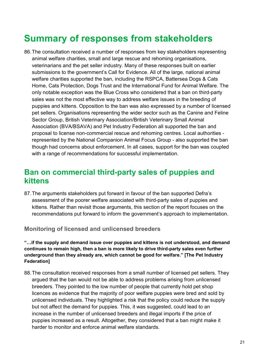# <span id="page-23-0"></span>**Summary of responses from stakeholders**

86.The consultation received a number of responses from key stakeholders representing animal welfare charities, small and large rescue and rehoming organisations, veterinarians and the pet seller industry. Many of these responses built on earlier submissions to the government's Call for Evidence. All of the large, national animal welfare charities supported the ban, including the RSPCA, Battersea Dogs & Cats Home, Cats Protection, Dogs Trust and the International Fund for Animal Welfare. The only notable exception was the Blue Cross who considered that a ban on third-party sales was not the most effective way to address welfare issues in the breeding of puppies and kittens. Opposition to the ban was also expressed by a number of licensed pet sellers. Organisations representing the wider sector such as the Canine and Feline Sector Group, British Veterinary Association/British Veterinary Small Animal Association (BVA/BSAVA) and Pet Industry Federation all supported the ban and proposal to license non-commercial rescue and rehoming centres. Local authorities represented by the National Companion Animal Focus Group - also supported the ban though had concerns about enforcement. In all cases, support for the ban was coupled with a range of recommendations for successful implementation.

### <span id="page-23-1"></span>**Ban on commercial third-party sales of puppies and kittens**

87.The arguments stakeholders put forward in favour of the ban supported Defra's assessment of the poorer welfare associated with third-party sales of puppies and kittens. Rather than revisit those arguments, this section of the report focuses on the recommendations put forward to inform the government's approach to implementation.

**Monitoring of licensed and unlicensed breeders** 

**"…if the supply and demand issue over puppies and kittens is not understood, and demand continues to remain high, then a ban is more likely to drive third-party sales even further underground than they already are, which cannot be good for welfare." [The Pet Industry Federation]** 

88.The consultation received responses from a small number of licensed pet sellers. They argued that the ban would not be able to address problems arising from unlicensed breeders. They pointed to the low number of people that currently hold pet shop licences as evidence that the majority of poor welfare puppies were bred and sold by unlicensed individuals. They highlighted a risk that the policy could reduce the supply but not affect the demand for puppies. This, it was suggested, could lead to an increase in the number of unlicensed breeders and illegal imports if the price of puppies increased as a result. Altogether, they considered that a ban might make it harder to monitor and enforce animal welfare standards.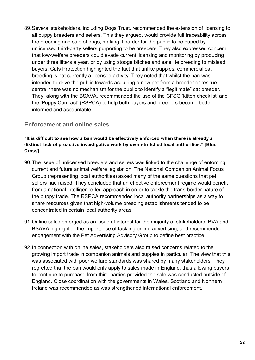89.Several stakeholders, including Dogs Trust, recommended the extension of licensing to all puppy breeders and sellers. This they argued, would provide full traceability across the breeding and sale of dogs, making it harder for the public to be duped by unlicensed third-party sellers purporting to be breeders. They also expressed concern that low-welfare breeders could evade current licensing and monitoring by producing under three litters a year, or by using stooge bitches and satellite breeding to mislead buyers. Cats Protection highlighted the fact that unlike puppies, commercial cat breeding is not currently a licensed activity. They noted that whilst the ban was intended to drive the public towards acquiring a new pet from a breeder or rescue centre, there was no mechanism for the public to identify a "legitimate" cat breeder. They, along with the BSAVA, recommended the use of the CFSG 'kitten checklist' and the 'Puppy Contract' (RSPCA) to help both buyers and breeders become better informed and accountable.

#### **Enforcement and online sales**

#### **"It is difficult to see how a ban would be effectively enforced when there is already a distinct lack of proactive investigative work by over stretched local authorities." [Blue Cross]**

- 90.The issue of unlicensed breeders and sellers was linked to the challenge of enforcing current and future animal welfare legislation. The National Companion Animal Focus Group (representing local authorities) asked many of the same questions that pet sellers had raised. They concluded that an effective enforcement regime would benefit from a national intelligence-led approach in order to tackle the trans-border nature of the puppy trade. The RSPCA recommended local authority partnerships as a way to share resources given that high-volume breeding establishments tended to be concentrated in certain local authority areas.
- 91.Online sales emerged as an issue of interest for the majority of stakeholders. BVA and BSAVA highlighted the importance of tackling online advertising, and recommended engagement with the Pet Advertising Advisory Group to define best practice.
- 92.In connection with online sales, stakeholders also raised concerns related to the growing import trade in companion animals and puppies in particular. The view that this was associated with poor welfare standards was shared by many stakeholders. They regretted that the ban would only apply to sales made in England, thus allowing buyers to continue to purchase from third-parties provided the sale was conducted outside of England. Close coordination with the governments in Wales, Scotland and Northern Ireland was recommended as was strengthened international enforcement.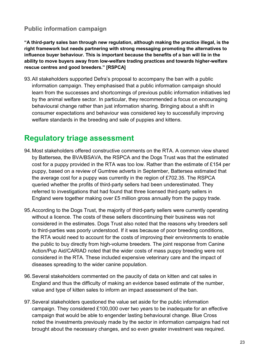#### **Public information campaign**

**"A third-party sales ban through new regulation, although making the practice illegal, is the right framework but needs partnering with strong messaging promoting the alternatives to influence buyer behaviour. This is important because the benefits of a ban will lie in the ability to move buyers away from low-welfare trading practices and towards higher-welfare rescue centres and good breeders." [RSPCA]**

93.All stakeholders supported Defra's proposal to accompany the ban with a public information campaign. They emphasised that a public information campaign should learn from the successes and shortcomings of previous public information initiatives led by the animal welfare sector. In particular, they recommended a focus on encouraging behavioural change rather than just information sharing. Bringing about a shift in consumer expectations and behaviour was considered key to successfully improving welfare standards in the breeding and sale of puppies and kittens.

### <span id="page-25-0"></span>**Regulatory triage assessment**

- 94.Most stakeholders offered constructive comments on the RTA. A common view shared by Battersea, the BVA/BSAVA, the RSPCA and the Dogs Trust was that the estimated cost for a puppy provided in the RTA was too low. Rather than the estimate of £154 per puppy, based on a review of Gumtree adverts in September, Battersea estimated that the average cost for a puppy was currently in the region of £702.35. The RSPCA queried whether the profits of third-party sellers had been underestimated. They referred to investigations that had found that three licensed third-party sellers in England were together making over £5 million gross annually from the puppy trade.
- 95.According to the Dogs Trust, the majority of third-party sellers were currently operating without a licence. The costs of these sellers discontinuing their business was not considered in the estimates. Dogs Trust also noted that the reasons why breeders sell to third-parties was poorly understood. If it was because of poor breeding conditions, the RTA would need to account for the costs of improving their environments to enable the public to buy directly from high-volume breeders. The joint response from Canine Action/Pup Aid/CARIAD noted that the wider costs of mass puppy breeding were not considered in the RTA. These included expensive veterinary care and the impact of diseases spreading to the wider canine population.
- 96.Several stakeholders commented on the paucity of data on kitten and cat sales in England and thus the difficulty of making an evidence based estimate of the number, value and type of kitten sales to inform an impact assessment of the ban.
- 97.Several stakeholders questioned the value set aside for the public information campaign. They considered £100,000 over two years to be inadequate for an effective campaign that would be able to engender lasting behavioural change. Blue Cross noted the investments previously made by the sector in information campaigns had not brought about the necessary changes, and so even greater investment was required.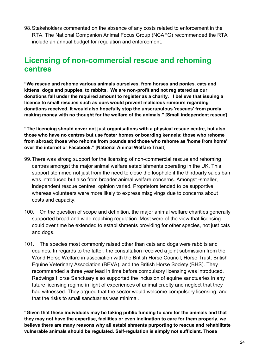98.Stakeholders commented on the absence of any costs related to enforcement in the RTA. The National Companion Animal Focus Group (NCAFG) recommended the RTA include an annual budget for regulation and enforcement.

# <span id="page-26-0"></span>**Licensing of non-commercial rescue and rehoming centres**

**"We rescue and rehome various animals ourselves, from horses and ponies, cats and kittens, dogs and puppies, to rabbits. We are non-profit and not registered as our donations fall under the required amount to register as a charity. I believe that issuing a licence to small rescues such as ours would prevent malicious rumours regarding donations received. It would also hopefully stop the unscrupulous 'rescues' from purely making money with no thought for the welfare of the animals." [Small independent rescue]** 

**"The licencing should cover not just organisations with a physical rescue centre, but also those who have no centres but use foster homes or boarding kennels; those who rehome from abroad; those who rehome from pounds and those who rehome as 'home from home' over the internet or Facebook." [National Animal Welfare Trust]** 

- 99.There was strong support for the licensing of non-commercial rescue and rehoming centres amongst the major animal welfare establishments operating in the UK. This support stemmed not just from the need to close the loophole if the thirdparty sales ban was introduced but also from broader animal welfare concerns. Amongst -smaller, independent rescue centres, opinion varied. Proprietors tended to be supportive whereas volunteers were more likely to express misgivings due to concerns about costs and capacity.
- 100. On the question of scope and definition, the major animal welfare charities generally supported broad and wide-reaching regulation. Most were of the view that licensing could over time be extended to establishments providing for other species, not just cats and dogs.
- 101. The species most commonly raised other than cats and dogs were rabbits and equines. In regards to the latter, the consultation received a joint submission from the World Horse Welfare in association with the British Horse Council, Horse Trust, British Equine Veterinary Association (BEVA), and the British Horse Society (BHS). They recommended a three year lead in time before compulsory licensing was introduced. Redwings Horse Sanctuary also supported the inclusion of equine sanctuaries in any future licensing regime in light of experiences of animal cruelty and neglect that they had witnessed. They argued that the sector would welcome compulsory licensing, and that the risks to small sanctuaries was minimal.

**"Given that these individuals may be taking public funding to care for the animals and that they may not have the expertise, facilities or even inclination to care for them properly, we believe there are many reasons why all establishments purporting to rescue and rehabilitate vulnerable animals should be regulated. Self-regulation is simply not sufficient. Those**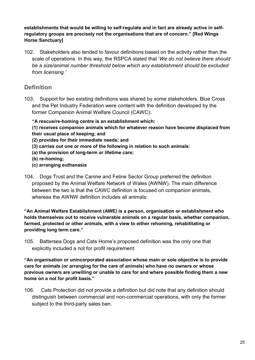#### **establishments that would be willing to self-regulate and in fact are already active in selfregulatory groups are precisely not the organisations that are of concern." [Red Wings Horse Sanctuary]**

102. Stakeholders also tended to favour definitions based on the activity rather than the scale of operations. In this way, the RSPCA stated that '*We do not believe there should be a size/animal number threshold below which any establishment should be excluded from licensing.'* 

#### **Definition**

103. Support for two existing definitions was shared by some stakeholders. Blue Cross and the Pet Industry Federation were content with the definition developed by the former Companion Animal Welfare Council (CAWC):

**"A rescue/re-homing centre is an establishment which:**

**(1) receives companion animals which for whatever reason have become displaced from their usual place of keeping; and** 

- **(2) provides for their immediate needs; and**
- **(3) carries out one or more of the following in relation to such animals:**
- **(a) the provision of long-term or lifetime care;**
- **(b) re-homing;**
- **(c) arranging euthanasia**
- 104. Dogs Trust and the Canine and Feline Sector Group preferred the definition proposed by the Animal Welfare Network of Wales (AWNW). The main difference between the two is that the CAWC definition is focused on companion animals, whereas the AWNW definition includes all animals:

**"An Animal Welfare Establishment (AWE) is a person, organisation or establishment who holds themselves out to receive vulnerable animals on a regular basis, whether companion, farmed, protected or other animals, with a view to either rehoming, rehabilitating or providing long term care."** 

105. Battersea Dogs and Cats Home's proposed definition was the only one that explicitly included a not for profit requirement:

**"An organisation or unincorporated association whose main or sole objective is to provide care for animals (or arranging for the care of animals) who have no owners or whose previous owners are unwilling or unable to care for and where possible finding them a new home on a not for profit basis."**

106. Cats Protection did not provide a definition but did note that any definition should distinguish between commercial and non-commercial operations, with only the former subject to the third-party sales ban.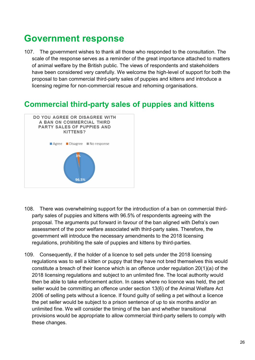# <span id="page-28-0"></span>**Government response**

107. The government wishes to thank all those who responded to the consultation. The scale of the response serves as a reminder of the great importance attached to matters of animal welfare by the British public. The views of respondents and stakeholders have been considered very carefully. We welcome the high-level of support for both the proposal to ban commercial third-party sales of puppies and kittens and introduce a licensing regime for non-commercial rescue and rehoming organisations.

### <span id="page-28-1"></span>**Commercial third-party sales of puppies and kittens**



- 108. There was overwhelming support for the introduction of a ban on commercial thirdparty sales of puppies and kittens with 96.5% of respondents agreeing with the proposal. The arguments put forward in favour of the ban aligned with Defra's own assessment of the poor welfare associated with third-party sales. Therefore, the government will introduce the necessary amendments to the 2018 licensing regulations, prohibiting the sale of puppies and kittens by third-parties.
- 109. Consequently, if the holder of a licence to sell pets under the 2018 licensing regulations was to sell a kitten or puppy that they have not bred themselves this would constitute a breach of their licence which is an offence under regulation 20(1)(a) of the 2018 licensing regulations and subject to an unlimited fine. The local authority would then be able to take enforcement action. In cases where no licence was held, the pet seller would be committing an offence under section 13(6) of the Animal Welfare Act 2006 of selling pets without a licence. If found guilty of selling a pet without a licence the pet seller would be subject to a prison sentence of up to six months and/or an unlimited fine. We will consider the timing of the ban and whether transitional provisions would be appropriate to allow commercial third-party sellers to comply with these changes.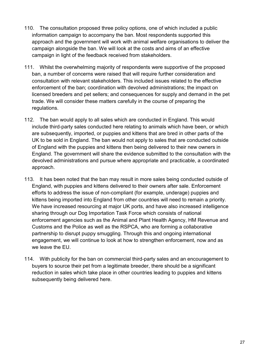- 110. The consultation proposed three policy options, one of which included a public information campaign to accompany the ban. Most respondents supported this approach and the government will work with animal welfare organisations to deliver the campaign alongside the ban. We will look at the costs and aims of an effective campaign in light of the feedback received from stakeholders.
- 111. Whilst the overwhelming majority of respondents were supportive of the proposed ban, a number of concerns were raised that will require further consideration and consultation with relevant stakeholders. This included issues related to the effective enforcement of the ban; coordination with devolved administrations; the impact on licensed breeders and pet sellers; and consequences for supply and demand in the pet trade. We will consider these matters carefully in the course of preparing the regulations.
- 112. The ban would apply to all sales which are conducted in England. This would include third-party sales conducted here relating to animals which have been, or which are subsequently, imported, or puppies and kittens that are bred in other parts of the UK to be sold in England. The ban would not apply to sales that are conducted outside of England with the puppies and kittens then being delivered to their new owners in England. The government will share the evidence submitted to the consultation with the devolved administrations and pursue where appropriate and practicable, a coordinated approach.
- 113. It has been noted that the ban may result in more sales being conducted outside of England, with puppies and kittens delivered to their owners after sale. Enforcement efforts to address the issue of non-compliant (for example, underage) puppies and kittens being imported into England from other countries will need to remain a priority. We have increased resourcing at major UK ports, and have also increased intelligence sharing through our Dog Importation Task Force which consists of national enforcement agencies such as the Animal and Plant Health Agency, HM Revenue and Customs and the Police as well as the RSPCA, who are forming a collaborative partnership to disrupt puppy smuggling. Through this and ongoing international engagement, we will continue to look at how to strengthen enforcement, now and as we leave the EU.
- 114. With publicity for the ban on commercial third-party sales and an encouragement to buyers to source their pet from a legitimate breeder, there should be a significant reduction in sales which take place in other countries leading to puppies and kittens subsequently being delivered here.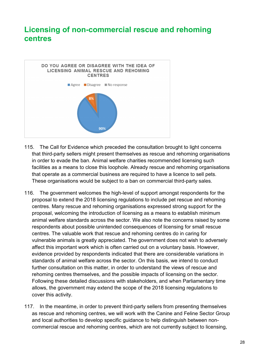## <span id="page-30-0"></span>**Licensing of non-commercial rescue and rehoming centres**



- 115. The Call for Evidence which preceded the consultation brought to light concerns that third-party sellers might present themselves as rescue and rehoming organisations in order to evade the ban. Animal welfare charities recommended licensing such facilities as a means to close this loophole. Already rescue and rehoming organisations that operate as a commercial business are required to have a licence to sell pets. These organisations would be subject to a ban on commercial third-party sales.
- 116. The government welcomes the high-level of support amongst respondents for the proposal to extend the 2018 licensing regulations to include pet rescue and rehoming centres. Many rescue and rehoming organisations expressed strong support for the proposal, welcoming the introduction of licensing as a means to establish minimum animal welfare standards across the sector. We also note the concerns raised by some respondents about possible unintended consequences of licensing for small rescue centres. The valuable work that rescue and rehoming centres do in caring for vulnerable animals is greatly appreciated. The government does not wish to adversely affect this important work which is often carried out on a voluntary basis. However, evidence provided by respondents indicated that there are considerable variations in standards of animal welfare across the sector. On this basis, we intend to conduct further consultation on this matter, in order to understand the views of rescue and rehoming centres themselves, and the possible impacts of licensing on the sector. Following these detailed discussions with stakeholders, and when Parliamentary time allows, the government may extend the scope of the 2018 licensing regulations to cover this activity.
- 117. In the meantime, in order to prevent third-party sellers from presenting themselves as rescue and rehoming centres, we will work with the Canine and Feline Sector Group and local authorities to develop specific guidance to help distinguish between noncommercial rescue and rehoming centres, which are not currently subject to licensing,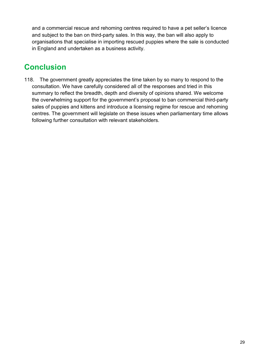and a commercial rescue and rehoming centres required to have a pet seller's licence and subject to the ban on third-party sales. In this way, the ban will also apply to organisations that specialise in importing rescued puppies where the sale is conducted in England and undertaken as a business activity.

# <span id="page-31-0"></span>**Conclusion**

118. The government greatly appreciates the time taken by so many to respond to the consultation. We have carefully considered all of the responses and tried in this summary to reflect the breadth, depth and diversity of opinions shared. We welcome the overwhelming support for the government's proposal to ban commercial third-party sales of puppies and kittens and introduce a licensing regime for rescue and rehoming centres. The government will legislate on these issues when parliamentary time allows following further consultation with relevant stakeholders.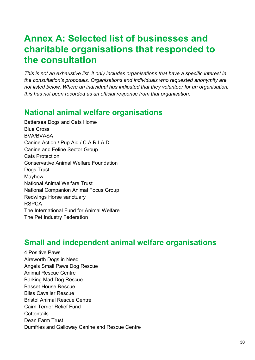# <span id="page-32-0"></span>**Annex A: Selected list of businesses and charitable organisations that responded to the consultation**

*This is not an exhaustive list, it only includes organisations that have a specific interest in the consultation's proposals. Organisations and individuals who requested anonymity are not listed below. Where an individual has indicated that they volunteer for an organisation, this has not been recorded as an official response from that organisation.* 

# <span id="page-32-1"></span>**National animal welfare organisations**

Battersea Dogs and Cats Home Blue Cross BVA/BVASA Canine Action / Pup Aid / C.A.R.I.A.D Canine and Feline Sector Group Cats Protection Conservative Animal Welfare Foundation Dogs Trust Mayhew National Animal Welfare Trust National Companion Animal Focus Group Redwings Horse sanctuary RSPCA The International Fund for Animal Welfare The Pet Industry Federation

## <span id="page-32-2"></span>**Small and independent animal welfare organisations**

4 Positive Paws Aireworth Dogs in Need Angels Small Paws Dog Rescue Animal Rescue Centre Barking Mad Dog Rescue Basset House Rescue Bliss Cavalier Rescue Bristol Animal Rescue Centre Cairn Terrier Relief Fund **Cottontails** Dean Farm Trust Dumfries and Galloway Canine and Rescue Centre